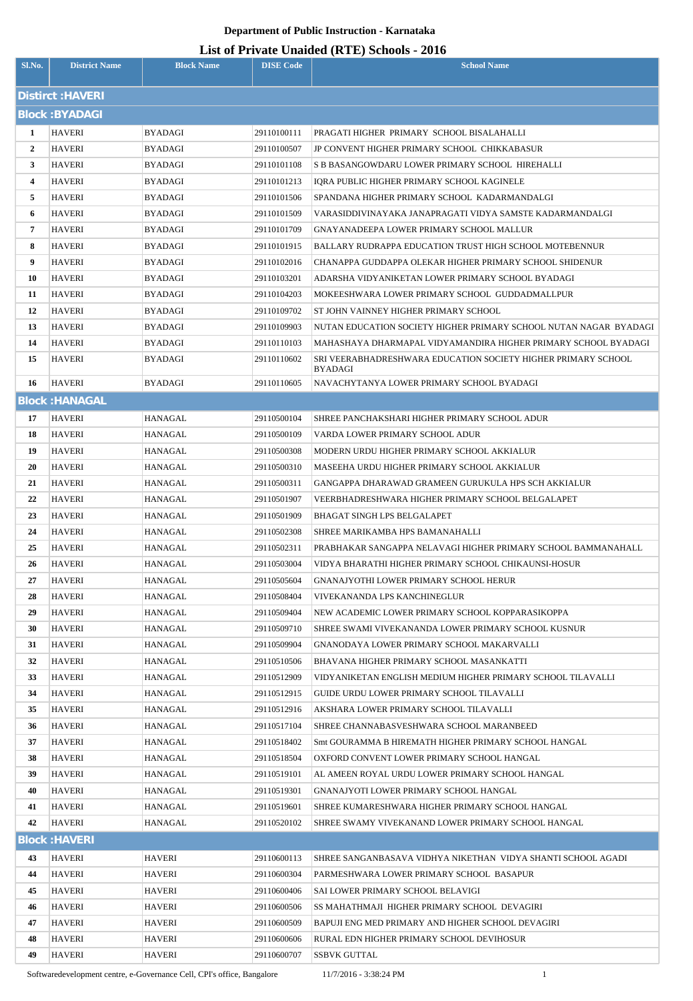| Sl.No.                   | <b>District Name</b>  | <b>Block Name</b>  | <b>DISE Code</b>           | $\cdots$ $($<br><b>School Name</b>                                                  |  |
|--------------------------|-----------------------|--------------------|----------------------------|-------------------------------------------------------------------------------------|--|
| <b>Distirct : HAVERI</b> |                       |                    |                            |                                                                                     |  |
|                          | <b>Block: BYADAGI</b> |                    |                            |                                                                                     |  |
| $\mathbf{1}$             | <b>HAVERI</b>         | BYADAGI            | 29110100111                | PRAGATI HIGHER PRIMARY SCHOOL BISALAHALLI                                           |  |
| $\overline{2}$           | <b>HAVERI</b>         | <b>BYADAGI</b>     | 29110100507                | JP CONVENT HIGHER PRIMARY SCHOOL CHIKKABASUR                                        |  |
| 3                        | HAVERI                | BYADAGI            | 29110101108                | S B BASANGOWDARU LOWER PRIMARY SCHOOL HIREHALLI                                     |  |
| 4                        | <b>HAVERI</b>         | <b>BYADAGI</b>     | 29110101213                | IORA PUBLIC HIGHER PRIMARY SCHOOL KAGINELE                                          |  |
| 5                        | <b>HAVERI</b>         | <b>BYADAGI</b>     | 29110101506                | SPANDANA HIGHER PRIMARY SCHOOL KADARMANDALGI                                        |  |
| 6                        | <b>HAVERI</b>         | BYADAGI            | 29110101509                | VARASIDDIVINAYAKA JANAPRAGATI VIDYA SAMSTE KADARMANDALGI                            |  |
| 7                        | HAVERI                | BYADAGI            | 29110101709                | GNAYANADEEPA LOWER PRIMARY SCHOOL MALLUR                                            |  |
| 8                        | <b>HAVERI</b>         | BYADAGI            | 29110101915                | <b>BALLARY RUDRAPPA EDUCATION TRUST HIGH SCHOOL MOTEBENNUR</b>                      |  |
| 9                        | <b>HAVERI</b>         | <b>BYADAGI</b>     | 29110102016                | CHANAPPA GUDDAPPA OLEKAR HIGHER PRIMARY SCHOOL SHIDENUR                             |  |
| 10                       | <b>HAVERI</b>         | <b>BYADAGI</b>     | 29110103201                | ADARSHA VIDYANIKETAN LOWER PRIMARY SCHOOL BYADAGI                                   |  |
| 11                       | <b>HAVERI</b>         | <b>BYADAGI</b>     | 29110104203                | MOKEESHWARA LOWER PRIMARY SCHOOL GUDDADMALLPUR                                      |  |
| 12                       | <b>HAVERI</b>         | BYADAGI            | 29110109702                | ST JOHN VAINNEY HIGHER PRIMARY SCHOOL                                               |  |
| 13                       | <b>HAVERI</b>         | <b>BYADAGI</b>     | 29110109903                | NUTAN EDUCATION SOCIETY HIGHER PRIMARY SCHOOL NUTAN NAGAR BYADAGI                   |  |
| 14                       | <b>HAVERI</b>         | <b>BYADAGI</b>     | 29110110103                | MAHASHAYA DHARMAPAL VIDYAMANDIRA HIGHER PRIMARY SCHOOL BYADAGI                      |  |
| 15                       | <b>HAVERI</b>         | BYADAGI            | 29110110602                | SRI VEERABHADRESHWARA EDUCATION SOCIETY HIGHER PRIMARY SCHOOL<br><b>BYADAGI</b>     |  |
| 16                       | <b>HAVERI</b>         | <b>BYADAGI</b>     | 29110110605                | NAVACHYTANYA LOWER PRIMARY SCHOOL BYADAGI                                           |  |
|                          | <b>Block: HANAGAL</b> |                    |                            |                                                                                     |  |
| 17                       | <b>HAVERI</b>         | HANAGAL            | 29110500104                | SHREE PANCHAKSHARI HIGHER PRIMARY SCHOOL ADUR                                       |  |
| 18                       | <b>HAVERI</b>         | HANAGAL            | 29110500109                | VARDA LOWER PRIMARY SCHOOL ADUR                                                     |  |
| 19                       | <b>HAVERI</b>         | HANAGAL            | 29110500308                | MODERN URDU HIGHER PRIMARY SCHOOL AKKIALUR                                          |  |
| 20                       | <b>HAVERI</b>         | HANAGAL            | 29110500310                | MASEEHA URDU HIGHER PRIMARY SCHOOL AKKIALUR                                         |  |
| 21                       | <b>HAVERI</b>         | HANAGAL            | 29110500311                | GANGAPPA DHARAWAD GRAMEEN GURUKULA HPS SCH AKKIALUR                                 |  |
| 22                       | <b>HAVERI</b>         | HANAGAL            | 29110501907                | VEERBHADRESHWARA HIGHER PRIMARY SCHOOL BELGALAPET                                   |  |
| 23                       | <b>HAVERI</b>         | HANAGAL            | 29110501909                | <b>BHAGAT SINGH LPS BELGALAPET</b>                                                  |  |
| 24                       | <b>HAVERI</b>         | HANAGAL            | 29110502308                | SHREE MARIKAMBA HPS BAMANAHALLI                                                     |  |
| 25                       | HAVERI                | HANAGAL            | 29110502311                | PRABHAKAR SANGAPPA NELAVAGI HIGHER PRIMARY SCHOOL BAMMANAHALL                       |  |
| 26                       | <b>HAVERI</b>         | <b>HANAGAL</b>     | 29110503004                | VIDYA BHARATHI HIGHER PRIMARY SCHOOL CHIKAUNSI-HOSUR                                |  |
| 27                       | HAVERI                | HANAGAL            | 29110505604                | <b>GNANAJYOTHI LOWER PRIMARY SCHOOL HERUR</b>                                       |  |
| 28                       | <b>HAVERI</b>         | HANAGAL            | 29110508404                | VIVEKANANDA LPS KANCHINEGLUR                                                        |  |
| 29                       | HAVERI                | HANAGAL            | 29110509404                | NEW ACADEMIC LOWER PRIMARY SCHOOL KOPPARASIKOPPA                                    |  |
| 30                       | <b>HAVERI</b>         | HANAGAL            | 29110509710                | SHREE SWAMI VIVEKANANDA LOWER PRIMARY SCHOOL KUSNUR                                 |  |
| 31                       | HAVERI                | HANAGAL            | 29110509904                | GNANODAYA LOWER PRIMARY SCHOOL MAKARVALLI                                           |  |
| 32                       | HAVERI                | HANAGAL            | 29110510506                | BHAVANA HIGHER PRIMARY SCHOOL MASANKATTI                                            |  |
| 33                       | HAVERI                | HANAGAL            | 29110512909                | VIDYANIKETAN ENGLISH MEDIUM HIGHER PRIMARY SCHOOL TILAVALLI                         |  |
| 34<br>35                 | HAVERI<br>HAVERI      | HANAGAL            | 29110512915<br>29110512916 | GUIDE URDU LOWER PRIMARY SCHOOL TILAVALLI<br>AKSHARA LOWER PRIMARY SCHOOL TILAVALLI |  |
| 36                       | <b>HAVERI</b>         | HANAGAL<br>HANAGAL | 29110517104                | SHREE CHANNABASVESHWARA SCHOOL MARANBEED                                            |  |
| 37                       | HAVERI                | HANAGAL            | 29110518402                | Smt GOURAMMA B HIREMATH HIGHER PRIMARY SCHOOL HANGAL                                |  |
| 38                       | <b>HAVERI</b>         | HANAGAL            | 29110518504                | OXFORD CONVENT LOWER PRIMARY SCHOOL HANGAL                                          |  |
| 39                       | HAVERI                | HANAGAL            | 29110519101                | AL AMEEN ROYAL URDU LOWER PRIMARY SCHOOL HANGAL                                     |  |
| 40                       | <b>HAVERI</b>         | HANAGAL            | 29110519301                | GNANAJYOTI LOWER PRIMARY SCHOOL HANGAL                                              |  |
| 41                       | <b>HAVERI</b>         | HANAGAL            | 29110519601                | SHREE KUMARESHWARA HIGHER PRIMARY SCHOOL HANGAL                                     |  |
| 42                       | <b>HAVERI</b>         | HANAGAL            | 29110520102                | SHREE SWAMY VIVEKANAND LOWER PRIMARY SCHOOL HANGAL                                  |  |
|                          | <b>Block: HAVERI</b>  |                    |                            |                                                                                     |  |
| 43                       | <b>HAVERI</b>         | HAVERI             | 29110600113                | SHREE SANGANBASAVA VIDHYA NIKETHAN VIDYA SHANTI SCHOOL AGADI                        |  |
| 44                       | <b>HAVERI</b>         | HAVERI             | 29110600304                | PARMESHWARA LOWER PRIMARY SCHOOL BASAPUR                                            |  |
| 45                       | HAVERI                | HAVERI             | 29110600406                | SAI LOWER PRIMARY SCHOOL BELAVIGI                                                   |  |
| 46                       | <b>HAVERI</b>         | HAVERI             | 29110600506                | SS MAHATHMAJI HIGHER PRIMARY SCHOOL DEVAGIRI                                        |  |
| 47                       | HAVERI                | <b>HAVERI</b>      | 29110600509                | BAPUJI ENG MED PRIMARY AND HIGHER SCHOOL DEVAGIRI                                   |  |
| 48                       | <b>HAVERI</b>         | HAVERI             | 29110600606                | RURAL EDN HIGHER PRIMARY SCHOOL DEVIHOSUR                                           |  |
| 49                       | <b>HAVERI</b>         | HAVERI             | 29110600707                | <b>SSBVK GUTTAL</b>                                                                 |  |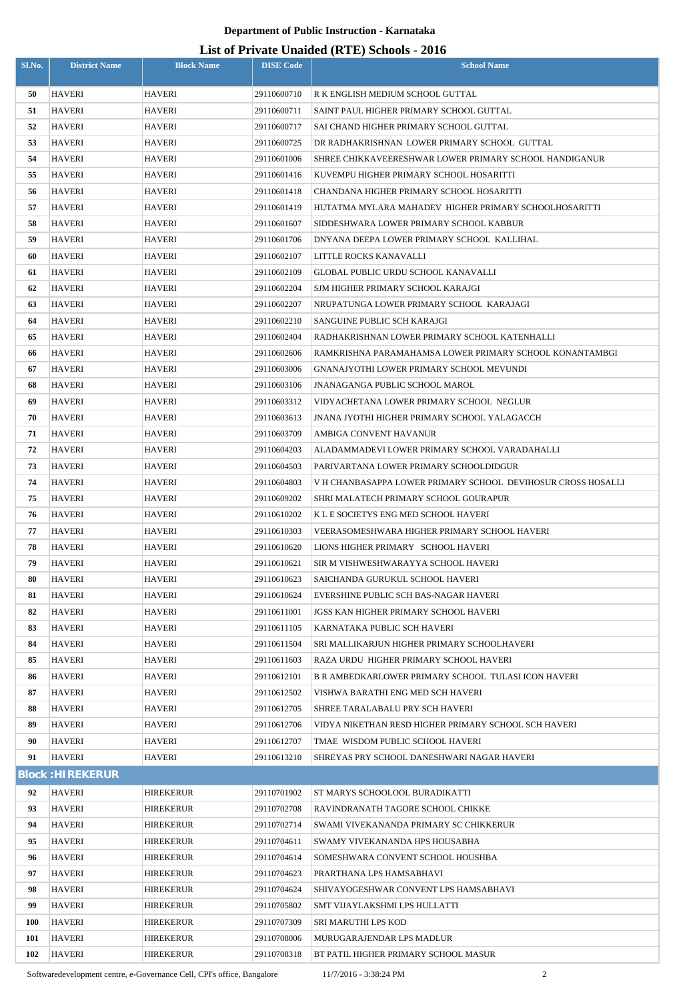## **List of Private Unaided (RTE) Schools - 2016**

|            |                         |                   |                  | LIST OF FITVALE UNAIGURE (INTER) SCHOOLS - 2010               |
|------------|-------------------------|-------------------|------------------|---------------------------------------------------------------|
| Sl.No.     | <b>District Name</b>    | <b>Block Name</b> | <b>DISE Code</b> | <b>School Name</b>                                            |
| 50         | <b>HAVERI</b>           | HAVERI            | 29110600710      | R K ENGLISH MEDIUM SCHOOL GUTTAL                              |
| 51         | HAVERI                  | HAVERI            | 29110600711      | SAINT PAUL HIGHER PRIMARY SCHOOL GUTTAL                       |
| 52         | HAVERI                  | HAVERI            | 29110600717      | SAI CHAND HIGHER PRIMARY SCHOOL GUTTAL                        |
| 53         | HAVERI                  | <b>HAVERI</b>     | 29110600725      | DR RADHAKRISHNAN LOWER PRIMARY SCHOOL GUTTAL                  |
| 54         | HAVERI                  | <b>HAVERI</b>     | 29110601006      | SHREE CHIKKAVEERESHWAR LOWER PRIMARY SCHOOL HANDIGANUR        |
| 55         | HAVERI                  | <b>HAVERI</b>     | 29110601416      | KUVEMPU HIGHER PRIMARY SCHOOL HOSARITTI                       |
| 56         | HAVERI                  | <b>HAVERI</b>     | 29110601418      | CHANDANA HIGHER PRIMARY SCHOOL HOSARITTI                      |
| 57         | HAVERI                  | <b>HAVERI</b>     | 29110601419      | HUTATMA MYLARA MAHADEV HIGHER PRIMARY SCHOOLHOSARITTI         |
| 58         | <b>HAVERI</b>           | <b>HAVERI</b>     | 29110601607      | SIDDESHWARA LOWER PRIMARY SCHOOL KABBUR                       |
| 59         | HAVERI                  | HAVERI            | 29110601706      | DNYANA DEEPA LOWER PRIMARY SCHOOL KALLIHAL                    |
| 60         | <b>HAVERI</b>           | <b>HAVERI</b>     | 29110602107      | LITTLE ROCKS KANAVALLI                                        |
| 61         | HAVERI                  | <b>HAVERI</b>     | 29110602109      | GLOBAL PUBLIC URDU SCHOOL KANAVALLI                           |
| 62         | <b>HAVERI</b>           | <b>HAVERI</b>     | 29110602204      | SJM HIGHER PRIMARY SCHOOL KARAJGI                             |
| 63         | HAVERI                  | HAVERI            | 29110602207      | NRUPATUNGA LOWER PRIMARY SCHOOL  KARAJAGI                     |
| 64         | HAVERI                  | <b>HAVERI</b>     | 29110602210      | SANGUINE PUBLIC SCH KARAJGI                                   |
| 65         | <b>HAVERI</b>           | <b>HAVERI</b>     | 29110602404      | RADHAKRISHNAN LOWER PRIMARY SCHOOL KATENHALLI                 |
| 66         | <b>HAVERI</b>           | <b>HAVERI</b>     | 29110602606      | RAMKRISHNA PARAMAHAMSA LOWER PRIMARY SCHOOL KONANTAMBGI       |
| 67         | <b>HAVERI</b>           | <b>HAVERI</b>     | 29110603006      | GNANAJYOTHI LOWER PRIMARY SCHOOL MEVUNDI                      |
| 68         | <b>HAVERI</b>           | <b>HAVERI</b>     | 29110603106      | <b>JNANAGANGA PUBLIC SCHOOL MAROL</b>                         |
| 69         | <b>HAVERI</b>           | <b>HAVERI</b>     | 29110603312      | VIDYACHETANA LOWER PRIMARY SCHOOL NEGLUR                      |
| 70         | <b>HAVERI</b>           | <b>HAVERI</b>     | 29110603613      | JNANA JYOTHI HIGHER PRIMARY SCHOOL YALAGACCH                  |
| 71         | <b>HAVERI</b>           | <b>HAVERI</b>     | 29110603709      | AMBIGA CONVENT HAVANUR                                        |
| 72         | <b>HAVERI</b>           | HAVERI            | 29110604203      | ALADAMMADEVI LOWER PRIMARY SCHOOL VARADAHALLI                 |
| 73         | <b>HAVERI</b>           | <b>HAVERI</b>     | 29110604503      | PARIVARTANA LOWER PRIMARY SCHOOLDIDGUR                        |
| 74         | HAVERI                  | HAVERI            | 29110604803      | V H CHANBASAPPA LOWER PRIMARY SCHOOL  DEVIHOSUR CROSS HOSALLI |
| 75         | HAVERI                  | HAVERI            | 29110609202      | SHRI MALATECH PRIMARY SCHOOL GOURAPUR                         |
| 76         | HAVERI                  | <b>HAVERI</b>     | 29110610202      | K L E SOCIETYS ENG MED SCHOOL HAVERI                          |
| 77         | <b>HAVERI</b>           | <b>HAVERI</b>     | 29110610303      | VEERASOMESHWARA HIGHER PRIMARY SCHOOL HAVERI                  |
| 78         | HAVERI                  | <b>HAVERI</b>     | 29110610620      | LIONS HIGHER PRIMARY SCHOOL HAVERI                            |
| 79         | HAVERI                  | HAVERI            | 29110610621      | SIR M VISHWESHWARAYYA SCHOOL HAVERI                           |
| 80         | HAVERI                  | HAVERI            | 29110610623      | SAICHANDA GURUKUL SCHOOL HAVERI                               |
| 81         | HAVERI                  | HAVERI            | 29110610624      | EVERSHINE PUBLIC SCH BAS-NAGAR HAVERI                         |
| 82         | HAVERI                  | HAVERI            | 29110611001      | JGSS KAN HIGHER PRIMARY SCHOOL HAVERI                         |
| 83         | HAVERI                  | HAVERI            | 29110611105      | KARNATAKA PUBLIC SCH HAVERI                                   |
| 84         | HAVERI                  | HAVERI            | 29110611504      | SRI MALLIKARJUN HIGHER PRIMARY SCHOOLHAVERI                   |
| 85         | HAVERI                  | HAVERI            | 29110611603      | RAZA URDU HIGHER PRIMARY SCHOOL HAVERI                        |
| 86         | HAVERI                  | HAVERI            | 29110612101      | B R AMBEDKARLOWER PRIMARY SCHOOL TULASI ICON HAVERI           |
| 87         | HAVERI                  | HAVERI            | 29110612502      | VISHWA BARATHI ENG MED SCH HAVERI                             |
| 88         | HAVERI                  | HAVERI            | 29110612705      | SHREE TARALABALU PRY SCH HAVERI                               |
| 89         | HAVERI                  | HAVERI            | 29110612706      | VIDYA NIKETHAN RESD HIGHER PRIMARY SCHOOL SCH HAVERI          |
| 90         | HAVERI                  | HAVERI            | 29110612707      | TMAE WISDOM PUBLIC SCHOOL HAVERI                              |
| 91         | HAVERI                  | <b>HAVERI</b>     | 29110613210      | SHREYAS PRY SCHOOL DANESHWARI NAGAR HAVERI                    |
|            | <b>Block: HIREKERUR</b> |                   |                  |                                                               |
| 92         | <b>HAVERI</b>           | <b>HIREKERUR</b>  | 29110701902      | ST MARYS SCHOOLOOL BURADIKATTI                                |
| 93         | HAVERI                  | <b>HIREKERUR</b>  | 29110702708      | RAVINDRANATH TAGORE SCHOOL CHIKKE                             |
| 94         | HAVERI                  | HIREKERUR         | 29110702714      | SWAMI VIVEKANANDA PRIMARY SC CHIKKERUR                        |
| 95         | HAVERI                  | HIREKERUR         | 29110704611      | SWAMY VIVEKANANDA HPS HOUSABHA                                |
| 96         | HAVERI                  | HIREKERUR         | 29110704614      | SOMESHWARA CONVENT SCHOOL HOUSHBA                             |
| 97         | HAVERI                  | HIREKERUR         | 29110704623      | PRARTHANA LPS HAMSABHAVI                                      |
| 98         | HAVERI                  | HIREKERUR         | 29110704624      | SHIVAYOGESHWAR CONVENT LPS HAMSABHAVI                         |
| 99         | HAVERI                  | HIREKERUR         | 29110705802      | SMT VIJAYLAKSHMI LPS HULLATTI                                 |
| <b>100</b> | HAVERI                  | HIREKERUR         | 29110707309      | SRI MARUTHI LPS KOD                                           |
| 101        | HAVERI                  | HIREKERUR         | 29110708006      | MURUGARAJENDAR LPS MADLUR                                     |
| 102        | HAVERI                  | <b>HIREKERUR</b>  | 29110708318      | BT PATIL HIGHER PRIMARY SCHOOL MASUR                          |

Softwaredevelopment centre, e-Governance Cell, CPI's office, Bangalore 11/7/2016 - 3:38:24 PM 2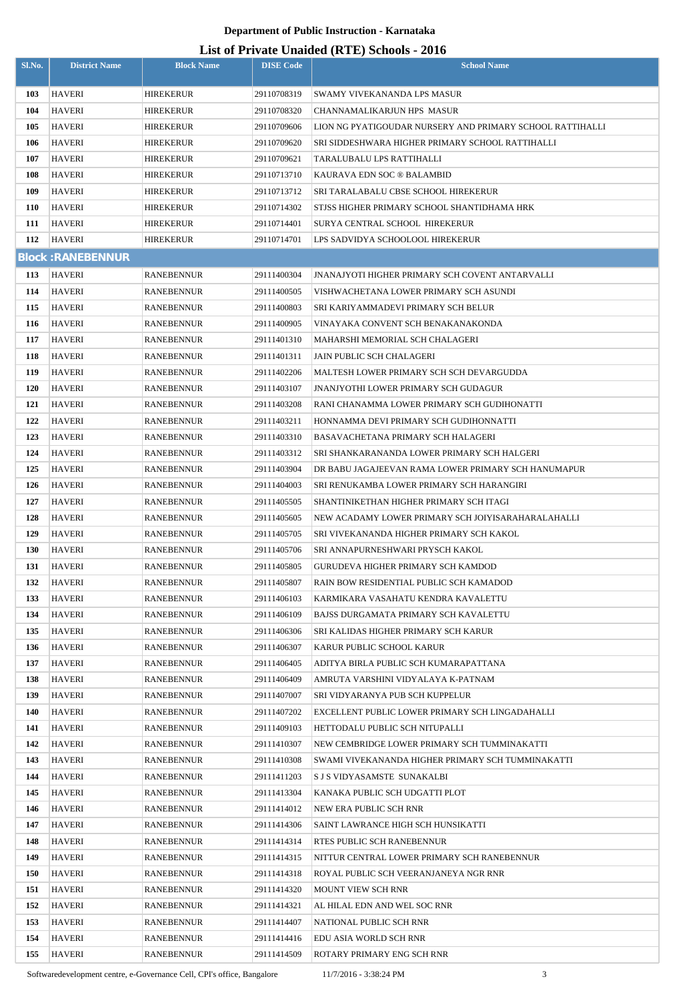| Sl.No.     | <b>District Name</b>     | <b>Block Name</b> | <b>DISE Code</b> | $\text{List of I I1value}$ charged $(\text{NIE})$ behoofs $\text{-}2010$<br><b>School Name</b> |
|------------|--------------------------|-------------------|------------------|------------------------------------------------------------------------------------------------|
|            |                          |                   |                  |                                                                                                |
| 103        | <b>HAVERI</b>            | <b>HIREKERUR</b>  | 29110708319      | SWAMY VIVEKANANDA LPS MASUR                                                                    |
| 104        | <b>HAVERI</b>            | HIREKERUR         | 29110708320      | <b>CHANNAMALIKARJUN HPS MASUR</b>                                                              |
| 105        | <b>HAVERI</b>            | HIREKERUR         | 29110709606      | LION NG PYATIGOUDAR NURSERY AND PRIMARY SCHOOL RATTIHALLI                                      |
| 106        | <b>HAVERI</b>            | HIREKERUR         | 29110709620      | SRI SIDDESHWARA HIGHER PRIMARY SCHOOL RATTIHALLI                                               |
| 107        | <b>HAVERI</b>            | HIREKERUR         | 29110709621      | TARALUBALU LPS RATTIHALLI                                                                      |
| 108        | <b>HAVERI</b>            | HIREKERUR         | 29110713710      | KAURAVA EDN SOC ® BALAMBID                                                                     |
| 109        | <b>HAVERI</b>            | HIREKERUR         | 29110713712      | SRI TARALABALU CBSE SCHOOL HIREKERUR                                                           |
| <b>110</b> | <b>HAVERI</b>            | HIREKERUR         | 29110714302      | STJSS HIGHER PRIMARY SCHOOL SHANTIDHAMA HRK                                                    |
| 111        | <b>HAVERI</b>            | HIREKERUR         | 29110714401      | SURYA CENTRAL SCHOOL HIREKERUR                                                                 |
| 112        | <b>HAVERI</b>            | HIREKERUR         | 29110714701      | LPS SADVIDYA SCHOOLOOL HIREKERUR                                                               |
|            | <b>Block: RANEBENNUR</b> |                   |                  |                                                                                                |
| 113        | <b>HAVERI</b>            | RANEBENNUR        | 29111400304      | <b>JNANAJYOTI HIGHER PRIMARY SCH COVENT ANTARVALLI</b>                                         |
| 114        | <b>HAVERI</b>            | RANEBENNUR        | 29111400505      | VISHWACHETANA LOWER PRIMARY SCH ASUNDI                                                         |
| 115        | <b>HAVERI</b>            | RANEBENNUR        | 29111400803      | SRI KARIYAMMADEVI PRIMARY SCH BELUR                                                            |
| 116        | <b>HAVERI</b>            | RANEBENNUR        | 29111400905      | VINAYAKA CONVENT SCH BENAKANAKONDA                                                             |
| 117        | <b>HAVERI</b>            | RANEBENNUR        | 29111401310      | MAHARSHI MEMORIAL SCH CHALAGERI                                                                |
| 118        | <b>HAVERI</b>            | RANEBENNUR        | 29111401311      | JAIN PUBLIC SCH CHALAGERI                                                                      |
| 119        | <b>HAVERI</b>            | RANEBENNUR        | 29111402206      | MALTESH LOWER PRIMARY SCH SCH DEVARGUDDA                                                       |
| 120        | <b>HAVERI</b>            | RANEBENNUR        | 29111403107      | <b>JNANJYOTHI LOWER PRIMARY SCH GUDAGUR</b>                                                    |
| 121        | <b>HAVERI</b>            | RANEBENNUR        | 29111403208      | RANI CHANAMMA LOWER PRIMARY SCH GUDIHONATTI                                                    |
| 122        | <b>HAVERI</b>            | RANEBENNUR        | 29111403211      | HONNAMMA DEVI PRIMARY SCH GUDIHONNATTI                                                         |
| 123        | <b>HAVERI</b>            | RANEBENNUR        | 29111403310      | BASAVACHETANA PRIMARY SCH HALAGERI                                                             |
| 124        | <b>HAVERI</b>            | RANEBENNUR        | 29111403312      | SRI SHANKARANANDA LOWER PRIMARY SCH HALGERI                                                    |
| 125        | <b>HAVERI</b>            | <b>RANEBENNUR</b> | 29111403904      | DR BABU JAGAJEEVAN RAMA LOWER PRIMARY SCH HANUMAPUR                                            |
| 126        | <b>HAVERI</b>            | <b>RANEBENNUR</b> | 29111404003      | SRI RENUKAMBA LOWER PRIMARY SCH HARANGIRI                                                      |
| 127        | <b>HAVERI</b>            | <b>RANEBENNUR</b> | 29111405505      | SHANTINIKETHAN HIGHER PRIMARY SCH ITAGI                                                        |
| 128        | <b>HAVERI</b>            | <b>RANEBENNUR</b> | 29111405605      | NEW ACADAMY LOWER PRIMARY SCH JOIYISARAHARALAHALLI                                             |
| 129        | <b>HAVERI</b>            | RANEBENNUR        | 29111405705      | SRI VIVEKANANDA HIGHER PRIMARY SCH KAKOL                                                       |
| <b>130</b> | <b>HAVERI</b>            | <b>RANEBENNUR</b> | 29111405706      | SRI ANNAPURNESHWARI PRYSCH KAKOL                                                               |
| 131        | <b>HAVERI</b>            | RANEBENNUR        | 29111405805      | GURUDEVA HIGHER PRIMARY SCH KAMDOD                                                             |
| 132        | <b>HAVERI</b>            | RANEBENNUR        | 29111405807      | RAIN BOW RESIDENTIAL PUBLIC SCH KAMADOD                                                        |
| 133        | <b>HAVERI</b>            | RANEBENNUR        | 29111406103      | KARMIKARA VASAHATU KENDRA KAVALETTU                                                            |
| 134        | <b>HAVERI</b>            | RANEBENNUR        | 29111406109      | BAJSS DURGAMATA PRIMARY SCH KAVALETTU                                                          |
| 135        | <b>HAVERI</b>            | <b>RANEBENNUR</b> | 29111406306      | SRI KALIDAS HIGHER PRIMARY SCH KARUR                                                           |
| 136        | <b>HAVERI</b>            | RANEBENNUR        | 29111406307      | KARUR PUBLIC SCHOOL KARUR                                                                      |
| 137        | <b>HAVERI</b>            | RANEBENNUR        | 29111406405      | ADITYA BIRLA PUBLIC SCH KUMARAPATTANA                                                          |
| 138        | <b>HAVERI</b>            | <b>RANEBENNUR</b> | 29111406409      | AMRUTA VARSHINI VIDYALAYA K-PATNAM                                                             |
| 139        | <b>HAVERI</b>            | <b>RANEBENNUR</b> | 29111407007      | SRI VIDYARANYA PUB SCH KUPPELUR                                                                |
| 140        | <b>HAVERI</b>            | RANEBENNUR        | 29111407202      | EXCELLENT PUBLIC LOWER PRIMARY SCH LINGADAHALLI                                                |
| 141        | <b>HAVERI</b>            | <b>RANEBENNUR</b> | 29111409103      | HETTODALU PUBLIC SCH NITUPALLI                                                                 |
| 142        | <b>HAVERI</b>            | <b>RANEBENNUR</b> | 29111410307      | NEW CEMBRIDGE LOWER PRIMARY SCH TUMMINAKATTI                                                   |
| 143        | <b>HAVERI</b>            | RANEBENNUR        | 29111410308      | SWAMI VIVEKANANDA HIGHER PRIMARY SCH TUMMINAKATTI                                              |
| 144        | <b>HAVERI</b>            | RANEBENNUR        | 29111411203      | S J S VIDYASAMSTE SUNAKALBI                                                                    |
| 145        | <b>HAVERI</b>            | RANEBENNUR        | 29111413304      | KANAKA PUBLIC SCH UDGATTI PLOT                                                                 |
| 146        | <b>HAVERI</b>            | RANEBENNUR        | 29111414012      | NEW ERA PUBLIC SCH RNR                                                                         |
| 147        | <b>HAVERI</b>            | RANEBENNUR        | 29111414306      | SAINT LAWRANCE HIGH SCH HUNSIKATTI                                                             |
| 148        | <b>HAVERI</b>            | RANEBENNUR        | 29111414314      | RTES PUBLIC SCH RANEBENNUR                                                                     |
| 149        | <b>HAVERI</b>            | RANEBENNUR        | 29111414315      | NITTUR CENTRAL LOWER PRIMARY SCH RANEBENNUR                                                    |
| 150        | <b>HAVERI</b>            | <b>RANEBENNUR</b> | 29111414318      | ROYAL PUBLIC SCH VEERANJANEYA NGR RNR                                                          |
| 151        | <b>HAVERI</b>            | <b>RANEBENNUR</b> | 29111414320      | <b>MOUNT VIEW SCH RNR</b>                                                                      |
| 152        | <b>HAVERI</b>            | RANEBENNUR        | 29111414321      | AL HILAL EDN AND WEL SOC RNR                                                                   |
| 153        | <b>HAVERI</b>            | <b>RANEBENNUR</b> | 29111414407      | NATIONAL PUBLIC SCH RNR                                                                        |
| 154        | <b>HAVERI</b>            | <b>RANEBENNUR</b> | 29111414416      | EDU ASIA WORLD SCH RNR                                                                         |
| 155        | <b>HAVERI</b>            | RANEBENNUR        | 29111414509      | ROTARY PRIMARY ENG SCH RNR                                                                     |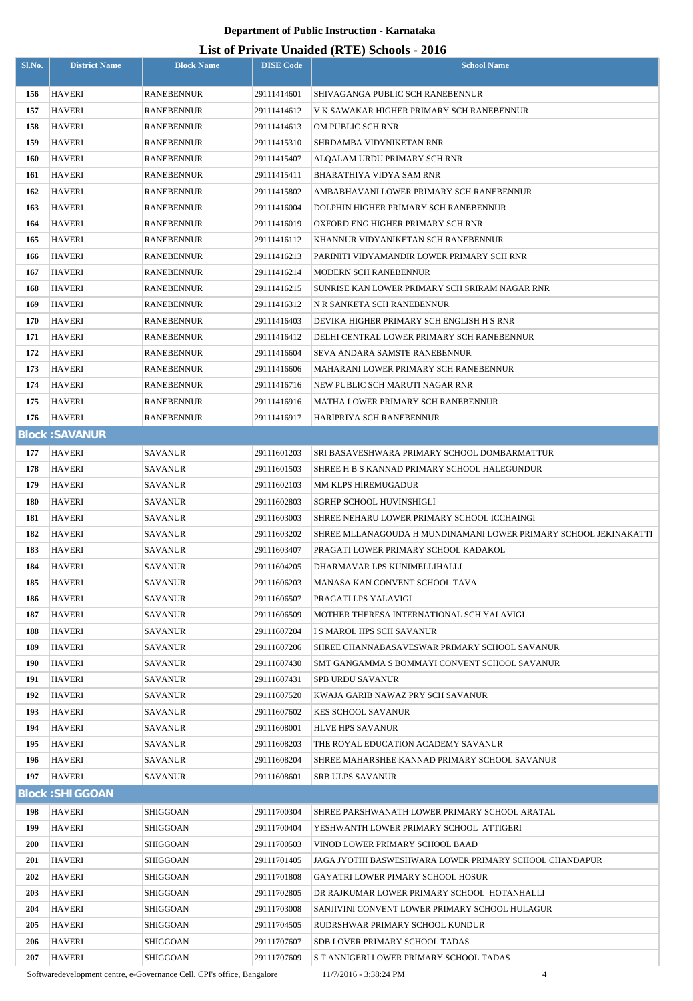|            |                         |                      |                            | LIST OF FITVALE UTHRIGHT (INTER) SCHOOLS - 2010                                  |  |  |
|------------|-------------------------|----------------------|----------------------------|----------------------------------------------------------------------------------|--|--|
| Sl.No.     | <b>District Name</b>    | <b>Block Name</b>    | <b>DISE Code</b>           | <b>School Name</b>                                                               |  |  |
| 156        | <b>HAVERI</b>           | <b>RANEBENNUR</b>    | 29111414601                | SHIVAGANGA PUBLIC SCH RANEBENNUR                                                 |  |  |
| 157        | <b>HAVERI</b>           | RANEBENNUR           | 29111414612                | V K SAWAKAR HIGHER PRIMARY SCH RANEBENNUR                                        |  |  |
| 158        | <b>HAVERI</b>           | RANEBENNUR           | 29111414613                | OM PUBLIC SCH RNR                                                                |  |  |
| 159        | <b>HAVERI</b>           | RANEBENNUR           | 29111415310                | SHRDAMBA VIDYNIKETAN RNR                                                         |  |  |
| 160        | <b>HAVERI</b>           | <b>RANEBENNUR</b>    | 29111415407                | ALQALAM URDU PRIMARY SCH RNR                                                     |  |  |
| 161        | <b>HAVERI</b>           | RANEBENNUR           | 29111415411                | BHARATHIYA VIDYA SAM RNR                                                         |  |  |
| 162        | <b>HAVERI</b>           | RANEBENNUR           | 29111415802                | AMBABHAVANI LOWER PRIMARY SCH RANEBENNUR                                         |  |  |
| 163        | <b>HAVERI</b>           | RANEBENNUR           | 29111416004                | DOLPHIN HIGHER PRIMARY SCH RANEBENNUR                                            |  |  |
| 164        | <b>HAVERI</b>           | RANEBENNUR           | 29111416019                | OXFORD ENG HIGHER PRIMARY SCH RNR                                                |  |  |
| 165        | <b>HAVERI</b>           | RANEBENNUR           | 29111416112                | KHANNUR VIDYANIKETAN SCH RANEBENNUR                                              |  |  |
| 166        | <b>HAVERI</b>           | RANEBENNUR           | 29111416213                | PARINITI VIDYAMANDIR LOWER PRIMARY SCH RNR                                       |  |  |
| 167        | HAVERI                  | RANEBENNUR           | 29111416214                | <b>MODERN SCH RANEBENNUR</b>                                                     |  |  |
| 168        | <b>HAVERI</b>           | <b>RANEBENNUR</b>    | 29111416215                | SUNRISE KAN LOWER PRIMARY SCH SRIRAM NAGAR RNR                                   |  |  |
| 169        | <b>HAVERI</b>           | <b>RANEBENNUR</b>    | 29111416312                | N R SANKETA SCH RANEBENNUR                                                       |  |  |
| 170        | <b>HAVERI</b>           | RANEBENNUR           | 29111416403                | DEVIKA HIGHER PRIMARY SCH ENGLISH H S RNR                                        |  |  |
| 171        | <b>HAVERI</b>           | <b>RANEBENNUR</b>    | 29111416412                | DELHI CENTRAL LOWER PRIMARY SCH RANEBENNUR                                       |  |  |
| 172        | <b>HAVERI</b>           | RANEBENNUR           | 29111416604                | SEVA ANDARA SAMSTE RANEBENNUR                                                    |  |  |
| 173        | <b>HAVERI</b>           | RANEBENNUR           | 29111416606                | MAHARANI LOWER PRIMARY SCH RANEBENNUR                                            |  |  |
| 174        | <b>HAVERI</b>           | RANEBENNUR           | 29111416716                | NEW PUBLIC SCH MARUTI NAGAR RNR                                                  |  |  |
| 175        | <b>HAVERI</b>           | <b>RANEBENNUR</b>    | 29111416916                | MATHA LOWER PRIMARY SCH RANEBENNUR                                               |  |  |
| 176        | <b>HAVERI</b>           | RANEBENNUR           | 29111416917                | HARIPRIYA SCH RANEBENNUR                                                         |  |  |
|            | <b>Block: SAVANUR</b>   |                      |                            |                                                                                  |  |  |
| 177        | <b>HAVERI</b>           | SAVANUR              | 29111601203                | SRI BASAVESHWARA PRIMARY SCHOOL DOMBARMATTUR                                     |  |  |
| 178        | <b>HAVERI</b>           | SAVANUR              | 29111601503                | SHREE H B S KANNAD PRIMARY SCHOOL HALEGUNDUR                                     |  |  |
| 179        | <b>HAVERI</b>           | SAVANUR              | 29111602103                | MM KLPS HIREMUGADUR                                                              |  |  |
| 180        | <b>HAVERI</b>           | SAVANUR              | 29111602803                | <b>SGRHP SCHOOL HUVINSHIGLI</b>                                                  |  |  |
| 181        | <b>HAVERI</b>           | <b>SAVANUR</b>       | 29111603003                | SHREE NEHARU LOWER PRIMARY SCHOOL ICCHAINGI                                      |  |  |
| 182        | <b>HAVERI</b>           | <b>SAVANUR</b>       | 29111603202                | SHREE MLLANAGOUDA H MUNDINAMANI LOWER PRIMARY SCHOOL JEKINAKATTI                 |  |  |
| 183        | <b>HAVERI</b>           | SAVANUR              | 29111603407                | PRAGATI LOWER PRIMARY SCHOOL KADAKOL                                             |  |  |
| 184        | <b>HAVERI</b>           | SAVANUR              | 29111604205                | DHARMAVAR LPS KUNIMELLIHALLI                                                     |  |  |
| 185        | <b>HAVERI</b>           | SAVANUR              | 29111606203                | MANASA KAN CONVENT SCHOOL TAVA                                                   |  |  |
| 186        | HAVERI                  | <b>SAVANUR</b>       | 29111606507                | PRAGATI LPS YALAVIGI                                                             |  |  |
| 187        | <b>HAVERI</b>           | SAVANUR              | 29111606509                | MOTHER THERESA INTERNATIONAL SCH YALAVIGI                                        |  |  |
| 188        | HAVERI                  | SAVANUR              | 29111607204                | <b>I S MAROL HPS SCH SAVANUR</b>                                                 |  |  |
| 189        | <b>HAVERI</b>           | SAVANUR              | 29111607206                | SHREE CHANNABASAVESWAR PRIMARY SCHOOL SAVANUR                                    |  |  |
| 190        | HAVERI                  | SAVANUR              | 29111607430                | SMT GANGAMMA S BOMMAYI CONVENT SCHOOL SAVANUR                                    |  |  |
| 191        | <b>HAVERI</b>           | SAVANUR              | 29111607431                | <b>SPB URDU SAVANUR</b>                                                          |  |  |
| 192        | <b>HAVERI</b>           | SAVANUR              | 29111607520                | KWAJA GARIB NAWAZ PRY SCH SAVANUR                                                |  |  |
| 193        | <b>HAVERI</b>           | SAVANUR              | 29111607602                | <b>KES SCHOOL SAVANUR</b>                                                        |  |  |
| 194<br>195 | HAVERI<br><b>HAVERI</b> | SAVANUR              | 29111608001<br>29111608203 | <b>HLVE HPS SAVANUR</b><br>THE ROYAL EDUCATION ACADEMY SAVANUR                   |  |  |
| 196        | <b>HAVERI</b>           | SAVANUR<br>SAVANUR   | 29111608204                | SHREE MAHARSHEE KANNAD PRIMARY SCHOOL SAVANUR                                    |  |  |
| 197        | <b>HAVERI</b>           | SAVANUR              | 29111608601                | SRB ULPS SAVANUR                                                                 |  |  |
|            | <b>Block: SHIGGOAN</b>  |                      |                            |                                                                                  |  |  |
|            |                         |                      |                            |                                                                                  |  |  |
| 198        | <b>HAVERI</b>           | SHIGGOAN             | 29111700304                | SHREE PARSHWANATH LOWER PRIMARY SCHOOL ARATAL                                    |  |  |
| 199        | <b>HAVERI</b>           | SHIGGOAN             | 29111700404                | YESHWANTH LOWER PRIMARY SCHOOL ATTIGERI                                          |  |  |
| <b>200</b> | <b>HAVERI</b>           | SHIGGOAN             | 29111700503                | VINOD LOWER PRIMARY SCHOOL BAAD                                                  |  |  |
| 201<br>202 | HAVERI<br><b>HAVERI</b> | SHIGGOAN             | 29111701405                | JAGA JYOTHI BASWESHWARA LOWER PRIMARY SCHOOL CHANDAPUR                           |  |  |
| 203        | HAVERI                  | SHIGGOAN             | 29111701808<br>29111702805 | GAYATRI LOWER PIMARY SCHOOL HOSUR<br>DR RAJKUMAR LOWER PRIMARY SCHOOL HOTANHALLI |  |  |
| 204        | <b>HAVERI</b>           | SHIGGOAN<br>SHIGGOAN | 29111703008                | SANJIVINI CONVENT LOWER PRIMARY SCHOOL HULAGUR                                   |  |  |
| 205        | HAVERI                  | SHIGGOAN             | 29111704505                | RUDRSHWAR PRIMARY SCHOOL KUNDUR                                                  |  |  |
| 206        | <b>HAVERI</b>           | SHIGGOAN             | 29111707607                | SDB LOVER PRIMARY SCHOOL TADAS                                                   |  |  |
| 207        | <b>HAVERI</b>           | SHIGGOAN             | 29111707609                | S T ANNIGERI LOWER PRIMARY SCHOOL TADAS                                          |  |  |
|            |                         |                      |                            |                                                                                  |  |  |